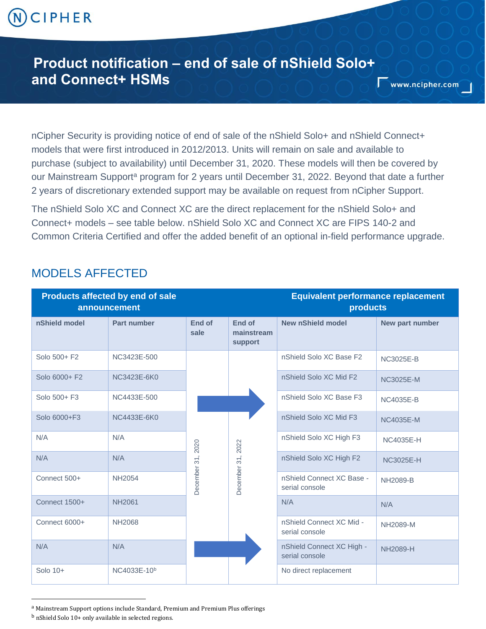# CIPHER

## **Product notification – end of sale of nShield Solo+ and Connect+ HSMs**

nCipher Security is providing notice of end of sale of the nShield Solo+ and nShield Connect+ models that were first introduced in 2012/2013. Units will remain on sale and available to purchase (subject to availability) until December 31, 2020. These models will then be covered by our Mainstream Support<sup>a</sup> program for 2 years until December 31, 2022. Beyond that date a further 2 years of discretionary extended support may be available on request from nCipher Support.

The nShield Solo XC and Connect XC are the direct replacement for the nShield Solo+ and Connect+ models – see table below. nShield Solo XC and Connect XC are FIPS 140-2 and Common Criteria Certified and offer the added benefit of an optional in-field performance upgrade.

#### MODELS AFFECTED

| <b>Products affected by end of sale</b><br>announcement |                         |                   |                                 | <b>Equivalent performance replacement</b><br>products |                  |
|---------------------------------------------------------|-------------------------|-------------------|---------------------------------|-------------------------------------------------------|------------------|
| nShield model                                           | Part number             | End of<br>sale    | End of<br>mainstream<br>support | <b>New nShield model</b>                              | New part number  |
| Solo 500+ F2                                            | NC3423E-500             | December 31, 2020 | December 31, 2022               | nShield Solo XC Base F2                               | <b>NC3025E-B</b> |
| Solo 6000+ F2                                           | NC3423E-6K0             |                   |                                 | nShield Solo XC Mid F2                                | <b>NC3025E-M</b> |
| Solo 500+ F3                                            | NC4433E-500             |                   |                                 | nShield Solo XC Base F3                               | <b>NC4035E-B</b> |
| Solo 6000+F3                                            | NC4433E-6K0             |                   |                                 | nShield Solo XC Mid F3                                | <b>NC4035E-M</b> |
| N/A                                                     | N/A                     |                   |                                 | nShield Solo XC High F3                               | <b>NC4035E-H</b> |
| N/A                                                     | N/A                     |                   |                                 | nShield Solo XC High F2                               | <b>NC3025E-H</b> |
| Connect 500+                                            | <b>NH2054</b>           |                   |                                 | nShield Connect XC Base -<br>serial console           | <b>NH2089-B</b>  |
| Connect 1500+                                           | <b>NH2061</b>           |                   |                                 | N/A                                                   | N/A              |
| Connect 6000+                                           | <b>NH2068</b>           |                   |                                 | nShield Connect XC Mid -<br>serial console            | NH2089-M         |
| N/A                                                     | N/A                     |                   |                                 | nShield Connect XC High -<br>serial console           | <b>NH2089-H</b>  |
| Solo 10+                                                | NC4033E-10 <sup>b</sup> |                   |                                 | No direct replacement                                 |                  |

<sup>a</sup> Mainstream Support options include Standard, Premium and Premium Plus offerings

 $\overline{a}$ 

<sup>b</sup> nShield Solo 10+ only available in selected regions.